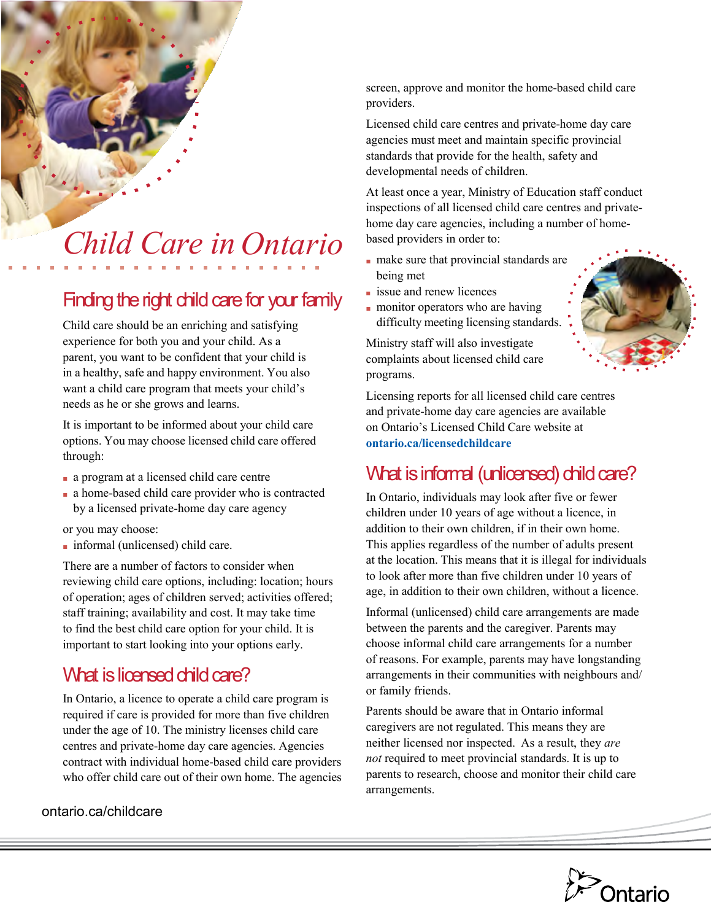

# *Ontario Child Care in*

# Finding the right child care for your family

Child care should be an enriching and satisfying experience for both you and your child. As a parent, you want to be confident that your child is in a healthy, safe and happy environment. You also want a child care program that meets your child's needs as he or she grows and learns.

It is important to be informed about your child care options. You may choose licensed child care offered through:

- a program at a licensed child care centre
- a home-based child care provider who is contracted by a licensed private-home day care agency

or you may choose:

■ informal (unlicensed) child care.

There are a number of factors to consider when reviewing child care options, including: location; hours of operation; ages of children served; activities offered; staff training; availability and cost. It may take time to find the best child care option for your child. It is important to start looking into your options early.

## What is licensed child care?

In Ontario, a licence to operate a child care program is required if care is provided for more than five children under the age of 10. The ministry licenses child care centres and private-home day care agencies. Agencies contract with individual home-based child care providers who offer child care out of their own home. The agencies

ontario.ca/childcare

screen, approve and monitor the home-based child care providers.

Licensed child care centres and private-home day care agencies must meet and maintain specific provincial standards that provide for the health, safety and developmental needs of children.

At least once a year, Ministry of Education staff conduct inspections of all licensed child care centres and privatehome day care agencies, including a number of homebased providers in order to:

- make sure that provincial standards are being met
- issue and renew licences
- monitor operators who are having difficulty meeting licensing standards.

Ministry staff will also investigate complaints about licensed child care programs.



Licensing reports for all licensed child care centres and private-home day care agencies are available on Ontario's Licensed Child Care website at **ontario.ca/licensedchildcare**

## What is informal (unlicensed) child care?

In Ontario, individuals may look after five or fewer children under 10 years of age without a licence, in addition to their own children, if in their own home. This applies regardless of the number of adults present at the location. This means that it is illegal for individuals to look after more than five children under 10 years of age, in addition to their own children, without a licence.

Informal (unlicensed) child care arrangements are made between the parents and the caregiver. Parents may choose informal child care arrangements for a number of reasons. For example, parents may have longstanding arrangements in their communities with neighbours and/ or family friends.

Parents should be aware that in Ontario informal caregivers are not regulated. This means they are neither licensed nor inspected. As a result, they *are not* required to meet provincial standards. It is up to parents to research, choose and monitor their child care arrangements.